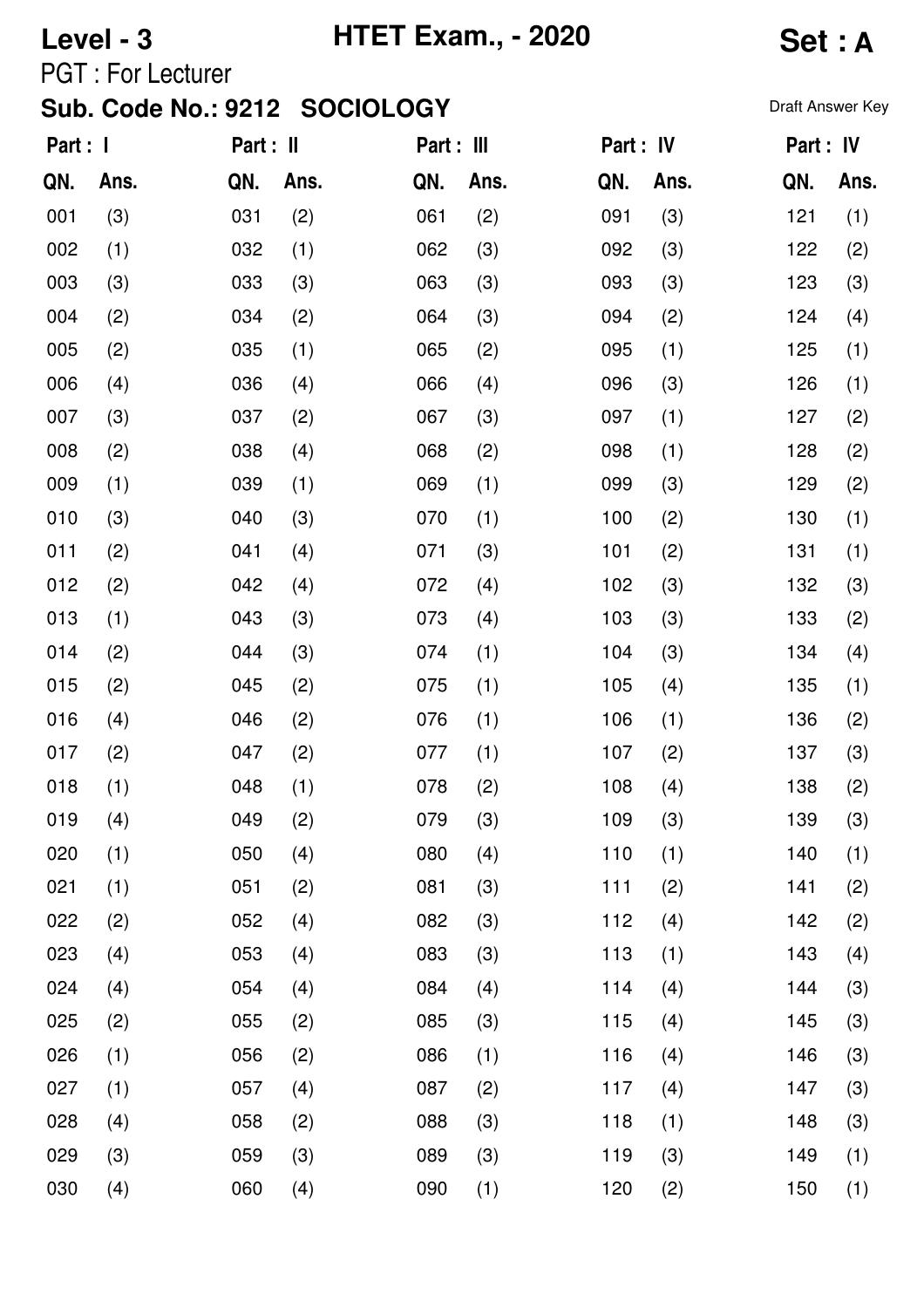## **Level - 3 HTET Exam., - 2020 Set : A**

PGT : For Lecturer

| Part : I |      | Part : II |      | Part : III |      | Part : IV |      | Part : IV |      |
|----------|------|-----------|------|------------|------|-----------|------|-----------|------|
| QN.      | Ans. | QN.       | Ans. | QN.        | Ans. | QN.       | Ans. | QN.       | Ans. |
| 001      | (3)  | 031       | (2)  | 061        | (2)  | 091       | (3)  | 121       | (1)  |
| 002      | (1)  | 032       | (1)  | 062        | (3)  | 092       | (3)  | 122       | (2)  |
| 003      | (3)  | 033       | (3)  | 063        | (3)  | 093       | (3)  | 123       | (3)  |
| 004      | (2)  | 034       | (2)  | 064        | (3)  | 094       | (2)  | 124       | (4)  |
| 005      | (2)  | 035       | (1)  | 065        | (2)  | 095       | (1)  | 125       | (1)  |
| 006      | (4)  | 036       | (4)  | 066        | (4)  | 096       | (3)  | 126       | (1)  |
| 007      | (3)  | 037       | (2)  | 067        | (3)  | 097       | (1)  | 127       | (2)  |
| 008      | (2)  | 038       | (4)  | 068        | (2)  | 098       | (1)  | 128       | (2)  |
| 009      | (1)  | 039       | (1)  | 069        | (1)  | 099       | (3)  | 129       | (2)  |
| 010      | (3)  | 040       | (3)  | 070        | (1)  | 100       | (2)  | 130       | (1)  |
| 011      | (2)  | 041       | (4)  | 071        | (3)  | 101       | (2)  | 131       | (1)  |
| 012      | (2)  | 042       | (4)  | 072        | (4)  | 102       | (3)  | 132       | (3)  |
| 013      | (1)  | 043       | (3)  | 073        | (4)  | 103       | (3)  | 133       | (2)  |
| 014      | (2)  | 044       | (3)  | 074        | (1)  | 104       | (3)  | 134       | (4)  |
| 015      | (2)  | 045       | (2)  | 075        | (1)  | 105       | (4)  | 135       | (1)  |
| 016      | (4)  | 046       | (2)  | 076        | (1)  | 106       | (1)  | 136       | (2)  |
| 017      | (2)  | 047       | (2)  | 077        | (1)  | 107       | (2)  | 137       | (3)  |
| 018      | (1)  | 048       | (1)  | 078        | (2)  | 108       | (4)  | 138       | (2)  |
| 019      | (4)  | 049       | (2)  | 079        | (3)  | 109       | (3)  | 139       | (3)  |
| 020      | (1)  | 050       | (4)  | 080        | (4)  | 110       | (1)  | 140       | (1)  |
| 021      | (1)  | 051       | (2)  | 081        | (3)  | 111       | (2)  | 141       | (2)  |
| 022      | (2)  | 052       | (4)  | 082        | (3)  | 112       | (4)  | 142       | (2)  |
| 023      | (4)  | 053       | (4)  | 083        | (3)  | 113       | (1)  | 143       | (4)  |
| 024      | (4)  | 054       | (4)  | 084        | (4)  | 114       | (4)  | 144       | (3)  |
| 025      | (2)  | 055       | (2)  | 085        | (3)  | 115       | (4)  | 145       | (3)  |
| 026      | (1)  | 056       | (2)  | 086        | (1)  | 116       | (4)  | 146       | (3)  |
| 027      | (1)  | 057       | (4)  | 087        | (2)  | 117       | (4)  | 147       | (3)  |
| 028      | (4)  | 058       | (2)  | 088        | (3)  | 118       | (1)  | 148       | (3)  |
| 029      | (3)  | 059       | (3)  | 089        | (3)  | 119       | (3)  | 149       | (1)  |
| 030      | (4)  | 060       | (4)  | 090        | (1)  | 120       | (2)  | 150       | (1)  |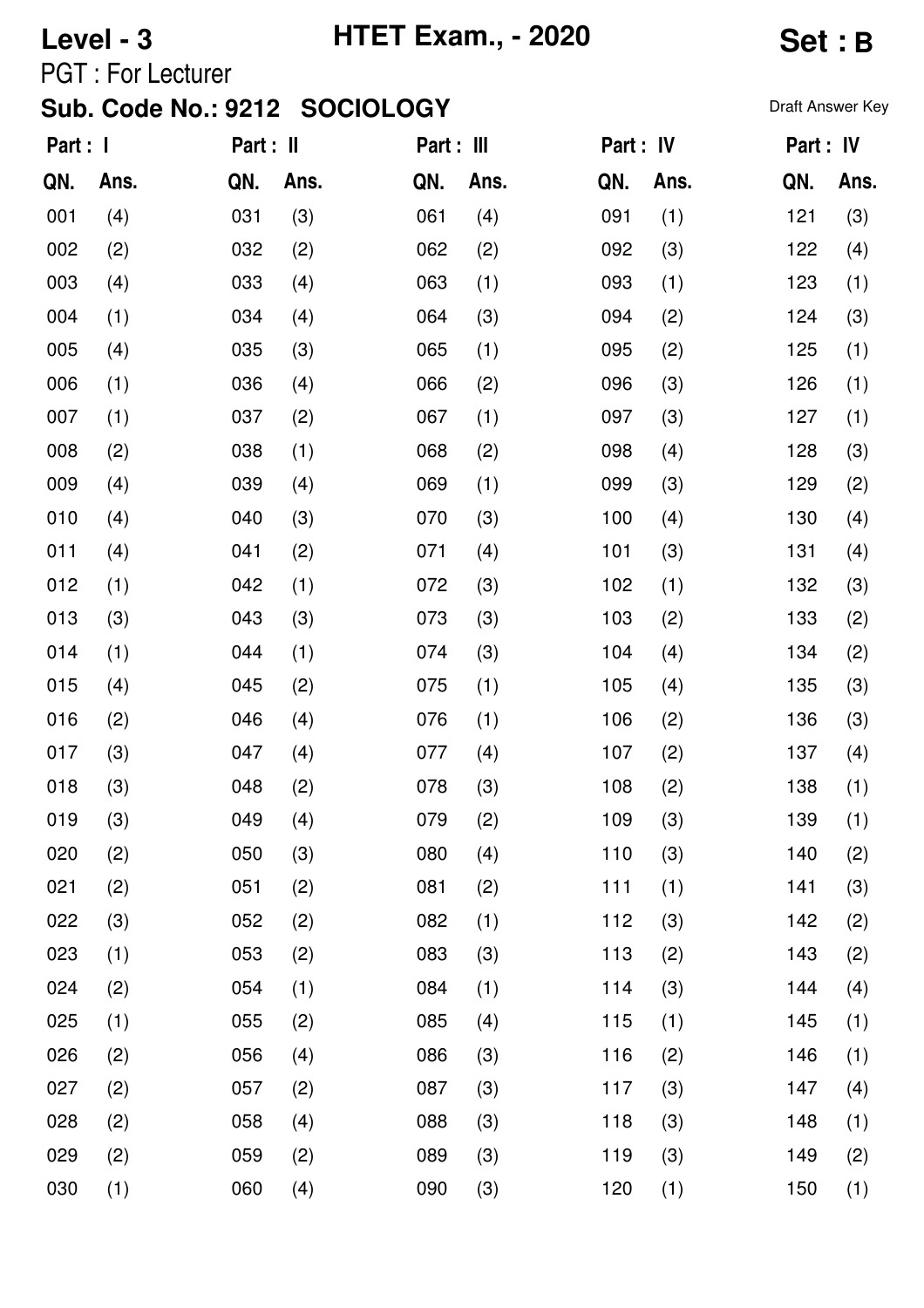# **Level - 3 HTET Exam., - 2020 Set : B**

PGT : For Lecturer

| Part : I |      | Part : II |      | Part : III |      | Part : IV |      | Part : IV |      |
|----------|------|-----------|------|------------|------|-----------|------|-----------|------|
| QN.      | Ans. | QN.       | Ans. | QN.        | Ans. | QN.       | Ans. | QN.       | Ans. |
| 001      | (4)  | 031       | (3)  | 061        | (4)  | 091       | (1)  | 121       | (3)  |
| 002      | (2)  | 032       | (2)  | 062        | (2)  | 092       | (3)  | 122       | (4)  |
| 003      | (4)  | 033       | (4)  | 063        | (1)  | 093       | (1)  | 123       | (1)  |
| 004      | (1)  | 034       | (4)  | 064        | (3)  | 094       | (2)  | 124       | (3)  |
| 005      | (4)  | 035       | (3)  | 065        | (1)  | 095       | (2)  | 125       | (1)  |
| 006      | (1)  | 036       | (4)  | 066        | (2)  | 096       | (3)  | 126       | (1)  |
| 007      | (1)  | 037       | (2)  | 067        | (1)  | 097       | (3)  | 127       | (1)  |
| 008      | (2)  | 038       | (1)  | 068        | (2)  | 098       | (4)  | 128       | (3)  |
| 009      | (4)  | 039       | (4)  | 069        | (1)  | 099       | (3)  | 129       | (2)  |
| 010      | (4)  | 040       | (3)  | 070        | (3)  | 100       | (4)  | 130       | (4)  |
| 011      | (4)  | 041       | (2)  | 071        | (4)  | 101       | (3)  | 131       | (4)  |
| 012      | (1)  | 042       | (1)  | 072        | (3)  | 102       | (1)  | 132       | (3)  |
| 013      | (3)  | 043       | (3)  | 073        | (3)  | 103       | (2)  | 133       | (2)  |
| 014      | (1)  | 044       | (1)  | 074        | (3)  | 104       | (4)  | 134       | (2)  |
| 015      | (4)  | 045       | (2)  | 075        | (1)  | 105       | (4)  | 135       | (3)  |
| 016      | (2)  | 046       | (4)  | 076        | (1)  | 106       | (2)  | 136       | (3)  |
| 017      | (3)  | 047       | (4)  | 077        | (4)  | 107       | (2)  | 137       | (4)  |
| 018      | (3)  | 048       | (2)  | 078        | (3)  | 108       | (2)  | 138       | (1)  |
| 019      | (3)  | 049       | (4)  | 079        | (2)  | 109       | (3)  | 139       | (1)  |
| 020      | (2)  | 050       | (3)  | 080        | (4)  | 110       | (3)  | 140       | (2)  |
| 021      | (2)  | 051       | (2)  | 081        | (2)  | 111       | (1)  | 141       | (3)  |
| 022      | (3)  | 052       | (2)  | 082        | (1)  | 112       | (3)  | 142       | (2)  |
| 023      | (1)  | 053       | (2)  | 083        | (3)  | 113       | (2)  | 143       | (2)  |
| 024      | (2)  | 054       | (1)  | 084        | (1)  | 114       | (3)  | 144       | (4)  |
| 025      | (1)  | 055       | (2)  | 085        | (4)  | 115       | (1)  | 145       | (1)  |
| 026      | (2)  | 056       | (4)  | 086        | (3)  | 116       | (2)  | 146       | (1)  |
| 027      | (2)  | 057       | (2)  | 087        | (3)  | 117       | (3)  | 147       | (4)  |
| 028      | (2)  | 058       | (4)  | 088        | (3)  | 118       | (3)  | 148       | (1)  |
| 029      | (2)  | 059       | (2)  | 089        | (3)  | 119       | (3)  | 149       | (2)  |
| 030      | (1)  | 060       | (4)  | 090        | (3)  | 120       | (1)  | 150       | (1)  |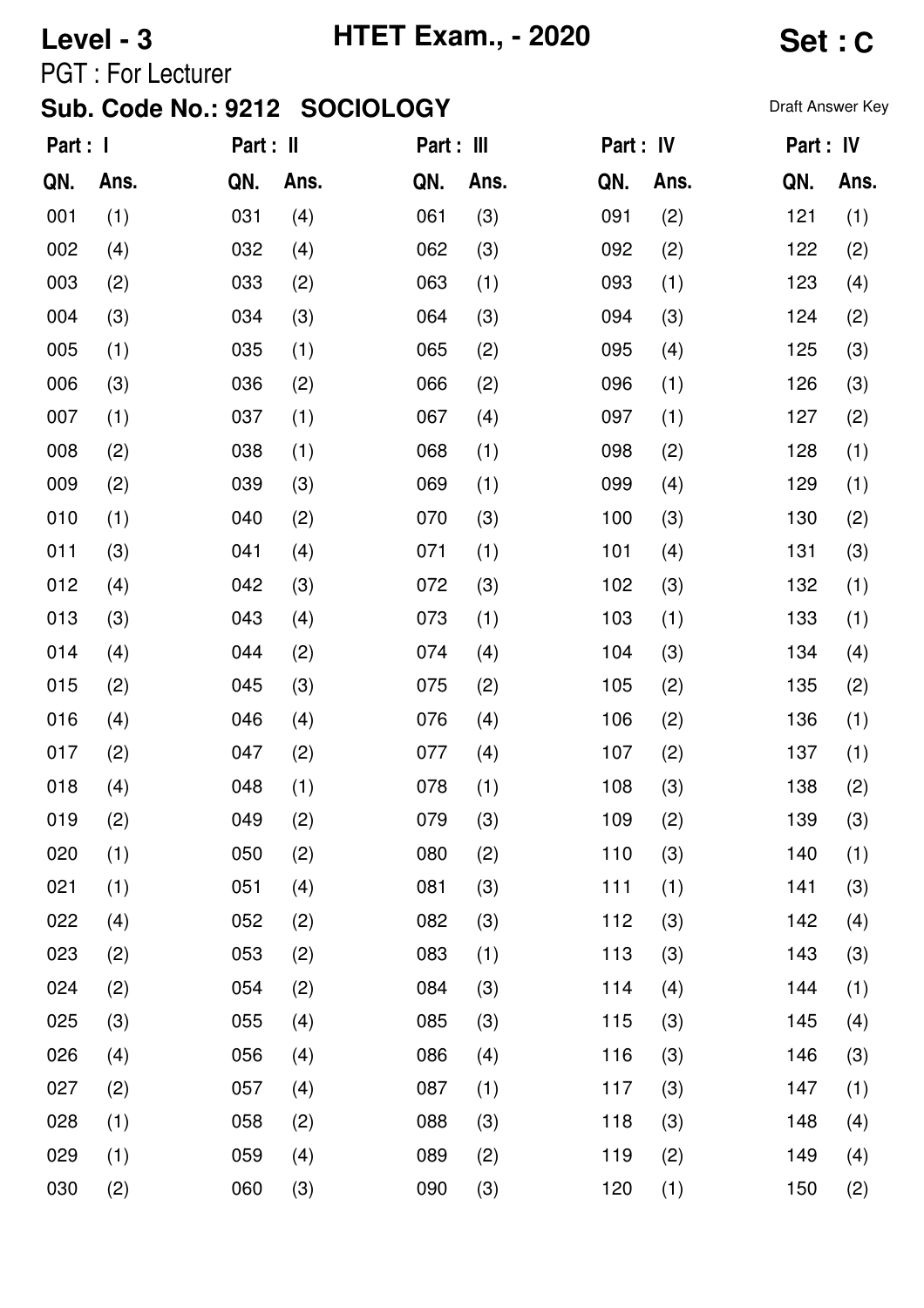# **Level - 3 HTET Exam., - 2020 Set : C**

PGT : For Lecturer

| Part : I |      | Part : II |      | Part : III |      | Part : IV |      |     | Part : IV |
|----------|------|-----------|------|------------|------|-----------|------|-----|-----------|
| QN.      | Ans. | QN.       | Ans. | QN.        | Ans. | QN.       | Ans. | QN. | Ans.      |
| 001      | (1)  | 031       | (4)  | 061        | (3)  | 091       | (2)  | 121 | (1)       |
| 002      | (4)  | 032       | (4)  | 062        | (3)  | 092       | (2)  | 122 | (2)       |
| 003      | (2)  | 033       | (2)  | 063        | (1)  | 093       | (1)  | 123 | (4)       |
| 004      | (3)  | 034       | (3)  | 064        | (3)  | 094       | (3)  | 124 | (2)       |
| 005      | (1)  | 035       | (1)  | 065        | (2)  | 095       | (4)  | 125 | (3)       |
| 006      | (3)  | 036       | (2)  | 066        | (2)  | 096       | (1)  | 126 | (3)       |
| 007      | (1)  | 037       | (1)  | 067        | (4)  | 097       | (1)  | 127 | (2)       |
| 008      | (2)  | 038       | (1)  | 068        | (1)  | 098       | (2)  | 128 | (1)       |
| 009      | (2)  | 039       | (3)  | 069        | (1)  | 099       | (4)  | 129 | (1)       |
| 010      | (1)  | 040       | (2)  | 070        | (3)  | 100       | (3)  | 130 | (2)       |
| 011      | (3)  | 041       | (4)  | 071        | (1)  | 101       | (4)  | 131 | (3)       |
| 012      | (4)  | 042       | (3)  | 072        | (3)  | 102       | (3)  | 132 | (1)       |
| 013      | (3)  | 043       | (4)  | 073        | (1)  | 103       | (1)  | 133 | (1)       |
| 014      | (4)  | 044       | (2)  | 074        | (4)  | 104       | (3)  | 134 | (4)       |
| 015      | (2)  | 045       | (3)  | 075        | (2)  | 105       | (2)  | 135 | (2)       |
| 016      | (4)  | 046       | (4)  | 076        | (4)  | 106       | (2)  | 136 | (1)       |
| 017      | (2)  | 047       | (2)  | 077        | (4)  | 107       | (2)  | 137 | (1)       |
| 018      | (4)  | 048       | (1)  | 078        | (1)  | 108       | (3)  | 138 | (2)       |
| 019      | (2)  | 049       | (2)  | 079        | (3)  | 109       | (2)  | 139 | (3)       |
| 020      | (1)  | 050       | (2)  | 080        | (2)  | 110       | (3)  | 140 | (1)       |
| 021      | (1)  | 051       | (4)  | 081        | (3)  | 111       | (1)  | 141 | (3)       |
| 022      | (4)  | 052       | (2)  | 082        | (3)  | 112       | (3)  | 142 | (4)       |
| 023      | (2)  | 053       | (2)  | 083        | (1)  | 113       | (3)  | 143 | (3)       |
| 024      | (2)  | 054       | (2)  | 084        | (3)  | 114       | (4)  | 144 | (1)       |
| 025      | (3)  | 055       | (4)  | 085        | (3)  | 115       | (3)  | 145 | (4)       |
| 026      | (4)  | 056       | (4)  | 086        | (4)  | 116       | (3)  | 146 | (3)       |
| 027      | (2)  | 057       | (4)  | 087        | (1)  | 117       | (3)  | 147 | (1)       |
| 028      | (1)  | 058       | (2)  | 088        | (3)  | 118       | (3)  | 148 | (4)       |
| 029      | (1)  | 059       | (4)  | 089        | (2)  | 119       | (2)  | 149 | (4)       |
| 030      | (2)  | 060       | (3)  | 090        | (3)  | 120       | (1)  | 150 | (2)       |